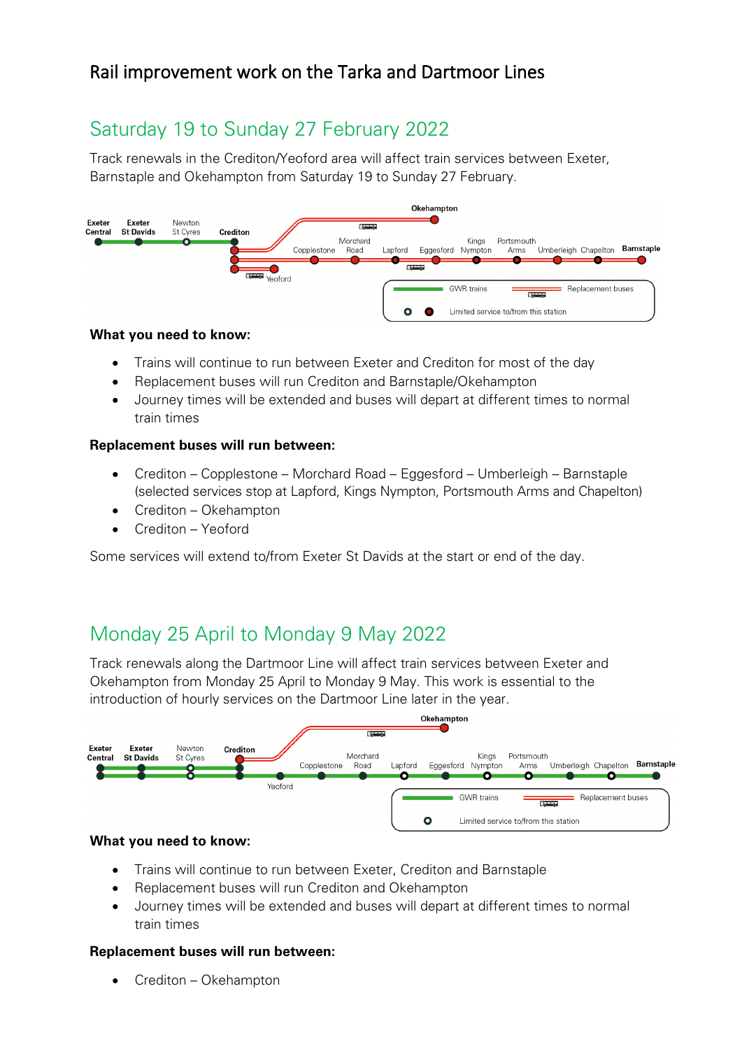# Saturday 19 to Sunday 27 February 2022

Track renewals in the Crediton/Yeoford area will affect train services between Exeter, Barnstaple and Okehampton from Saturday 19 to Sunday 27 February.



### **What you need to know:**

- Trains will continue to run between Exeter and Crediton for most of the day
- Replacement buses will run Crediton and Barnstaple/Okehampton
- Journey times will be extended and buses will depart at different times to normal train times

### **Replacement buses will run between:**

- Crediton Copplestone Morchard Road Eggesford Umberleigh Barnstaple (selected services stop at Lapford, Kings Nympton, Portsmouth Arms and Chapelton)
- Crediton Okehampton
- Crediton Yeoford

Some services will extend to/from Exeter St Davids at the start or end of the day.

## Monday 25 April to Monday 9 May 2022

Track renewals along the Dartmoor Line will affect train services between Exeter and Okehampton from Monday 25 April to Monday 9 May. This work is essential to the introduction of hourly services on the Dartmoor Line later in the year.



#### **What you need to know:**

- Trains will continue to run between Exeter, Crediton and Barnstaple
- Replacement buses will run Crediton and Okehampton
- Journey times will be extended and buses will depart at different times to normal train times

#### **Replacement buses will run between:**

• Crediton – Okehampton